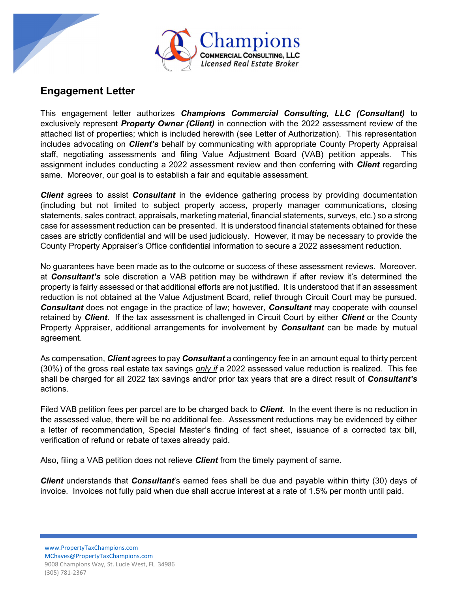

## Engagement Letter

This engagement letter authorizes Champions Commercial Consulting, LLC (Consultant) to exclusively represent *Property Owner (Client)* in connection with the 2022 assessment review of the attached list of properties; which is included herewith (see Letter of Authorization). This representation includes advocating on *Client's* behalf by communicating with appropriate County Property Appraisal staff, negotiating assessments and filing Value Adjustment Board (VAB) petition appeals. This assignment includes conducting a 2022 assessment review and then conferring with **Client** regarding same. Moreover, our goal is to establish a fair and equitable assessment.

**Client** agrees to assist **Consultant** in the evidence gathering process by providing documentation (including but not limited to subject property access, property manager communications, closing statements, sales contract, appraisals, marketing material, financial statements, surveys, etc.) so a strong case for assessment reduction can be presented. It is understood financial statements obtained for these cases are strictly confidential and will be used judiciously. However, it may be necessary to provide the County Property Appraiser's Office confidential information to secure a 2022 assessment reduction.

No guarantees have been made as to the outcome or success of these assessment reviews. Moreover, at **Consultant's** sole discretion a VAB petition may be withdrawn if after review it's determined the property is fairly assessed or that additional efforts are not justified. It is understood that if an assessment reduction is not obtained at the Value Adjustment Board, relief through Circuit Court may be pursued. **Consultant** does not engage in the practice of law; however, **Consultant** may cooperate with counsel retained by **Client**. If the tax assessment is challenged in Circuit Court by either **Client** or the County Property Appraiser, additional arrangements for involvement by **Consultant** can be made by mutual agreement.

As compensation, *Client* agrees to pay *Consultant* a contingency fee in an amount equal to thirty percent (30%) of the gross real estate tax savings only if a 2022 assessed value reduction is realized. This fee shall be charged for all 2022 tax savings and/or prior tax years that are a direct result of **Consultant's** actions.

Filed VAB petition fees per parcel are to be charged back to **Client**. In the event there is no reduction in the assessed value, there will be no additional fee. Assessment reductions may be evidenced by either a letter of recommendation, Special Master's finding of fact sheet, issuance of a corrected tax bill, verification of refund or rebate of taxes already paid.

Also, filing a VAB petition does not relieve *Client* from the timely payment of same.

**Client** understands that **Consultant**'s earned fees shall be due and payable within thirty (30) days of invoice. Invoices not fully paid when due shall accrue interest at a rate of 1.5% per month until paid.